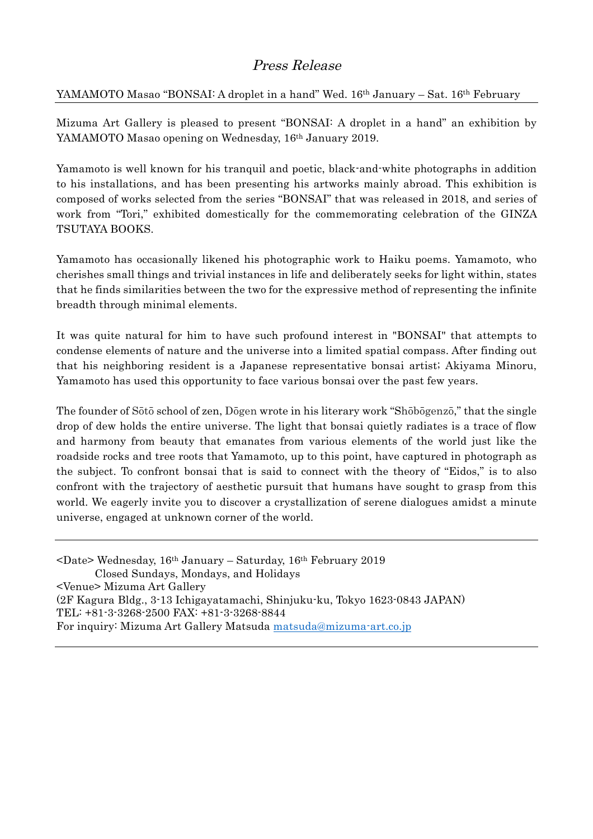## Press Release

## YAMAMOTO Masao "BONSAI: A droplet in a hand" Wed. 16<sup>th</sup> January – Sat. 16<sup>th</sup> February

Mizuma Art Gallery is pleased to present "BONSAI: A droplet in a hand" an exhibition by YAMAMOTO Masao opening on Wednesday, 16<sup>th</sup> January 2019.

Yamamoto is well known for his tranquil and poetic, black-and-white photographs in addition to his installations, and has been presenting his artworks mainly abroad. This exhibition is composed of works selected from the series "BONSAI" that was released in 2018, and series of work from "Tori," exhibited domestically for the commemorating celebration of the GINZA TSUTAYA BOOKS.

Yamamoto has occasionally likened his photographic work to Haiku poems. Yamamoto, who cherishes small things and trivial instances in life and deliberately seeks for light within, states that he finds similarities between the two for the expressive method of representing the infinite breadth through minimal elements.

It was quite natural for him to have such profound interest in "BONSAI" that attempts to condense elements of nature and the universe into a limited spatial compass. After finding out that his neighboring resident is a Japanese representative bonsai artist; Akiyama Minoru, Yamamoto has used this opportunity to face various bonsai over the past few years.

The founder of Sōtō school of zen, Dōgen wrote in his literary work "Shōbōgenzō," that the single drop of dew holds the entire universe. The light that bonsai quietly radiates is a trace of flow and harmony from beauty that emanates from various elements of the world just like the roadside rocks and tree roots that Yamamoto, up to this point, have captured in photograph as the subject. To confront bonsai that is said to connect with the theory of "Eidos," is to also confront with the trajectory of aesthetic pursuit that humans have sought to grasp from this world. We eagerly invite you to discover a crystallization of serene dialogues amidst a minute universe, engaged at unknown corner of the world.

<Date> Wednesday, 16th January – Saturday, 16th February 2019 Closed Sundays, Mondays, and Holidays <Venue> Mizuma Art Gallery (2F Kagura Bldg., 3-13 Ichigayatamachi, Shinjuku-ku, Tokyo 1623-0843 JAPAN) TEL: +81-3-3268-2500 FAX: +81-3-3268-8844 For inquiry: Mizuma Art Gallery Matsuda matsuda@mizuma-art.co.jp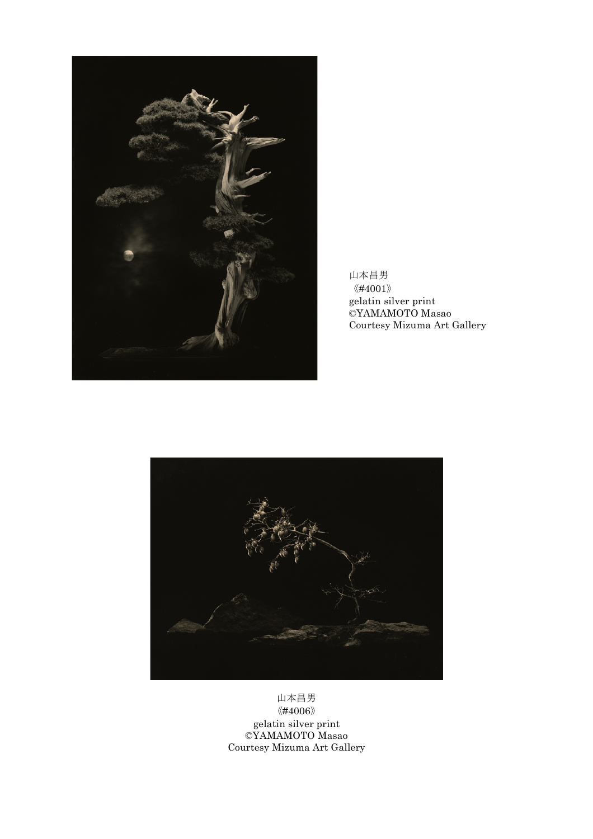

山本昌男  $\langle\!\langle \#4001 \rangle\!\rangle$ gelatin silver print ©YAMAMOTO Masao Courtesy Mizuma Art Gallery



山本昌男 《#4006》 gelatin silver print ©YAMAMOTO Masao Courtesy Mizuma Art Gallery